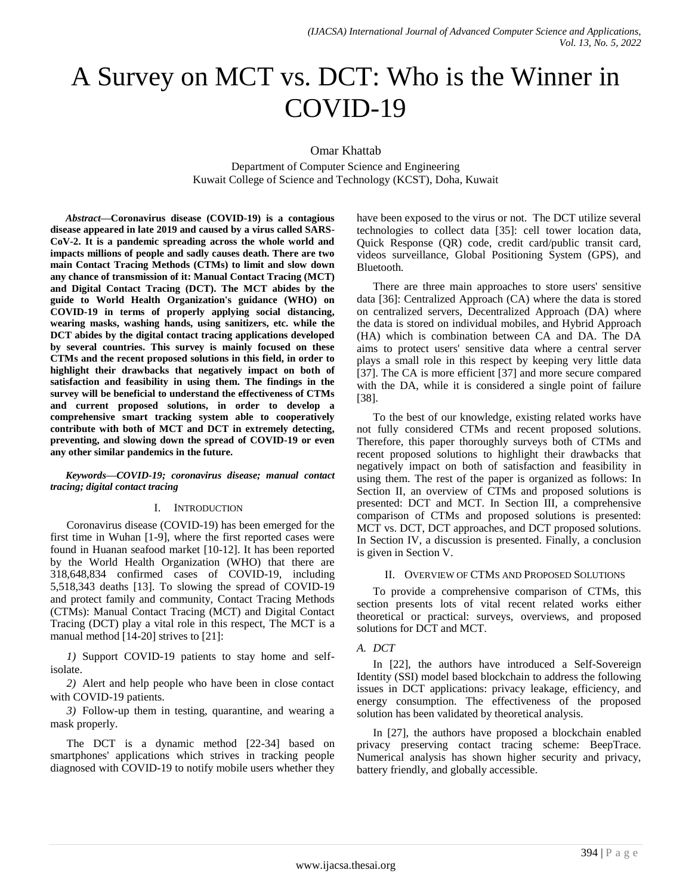# A Survey on MCT vs. DCT: Who is the Winner in COVID-19

Omar Khattab

Department of Computer Science and Engineering Kuwait College of Science and Technology (KCST), Doha, Kuwait

*Abstract***—Coronavirus disease (COVID-19) is a contagious disease appeared in late 2019 and caused by a virus called SARS-CoV-2. It is a pandemic spreading across the whole world and impacts millions of people and sadly causes death. There are two main Contact Tracing Methods (CTMs) to limit and slow down any chance of transmission of it: Manual Contact Tracing (MCT) and Digital Contact Tracing (DCT). The MCT abides by the guide to World Health Organization's guidance (WHO) on COVID-19 in terms of properly applying social distancing, wearing masks, washing hands, using sanitizers, etc. while the DCT abides by the digital contact tracing applications developed by several countries. This survey is mainly focused on these CTMs and the recent proposed solutions in this field, in order to highlight their drawbacks that negatively impact on both of satisfaction and feasibility in using them. The findings in the survey will be beneficial to understand the effectiveness of CTMs and current proposed solutions, in order to develop a comprehensive smart tracking system able to cooperatively contribute with both of MCT and DCT in extremely detecting, preventing, and slowing down the spread of COVID-19 or even any other similar pandemics in the future.**

#### *Keywords—COVID-19; coronavirus disease; manual contact tracing; digital contact tracing*

## I. INTRODUCTION

Coronavirus disease (COVID-19) has been emerged for the first time in Wuhan [1-9], where the first reported cases were found in Huanan seafood market [10-12]. It has been reported by the World Health Organization (WHO) that there are 318,648,834 confirmed cases of COVID-19, including 5,518,343 deaths [13]. To slowing the spread of COVID-19 and protect family and community, Contact Tracing Methods (CTMs): Manual Contact Tracing (MCT) and Digital Contact Tracing (DCT) play a vital role in this respect, The MCT is a manual method [14-20] strives to [21]:

*1)* Support COVID-19 patients to stay home and selfisolate.

*2)* Alert and help people who have been in close contact with COVID-19 patients.

*3)* Follow-up them in testing, quarantine, and wearing a mask properly.

The DCT is a dynamic method [22-34] based on smartphones' applications which strives in tracking people diagnosed with COVID-19 to notify mobile users whether they have been exposed to the virus or not. The DCT utilize several technologies to collect data [35]: cell tower location data, Quick Response (QR) code, credit card/public transit card, videos surveillance, Global Positioning System (GPS), and Bluetooth.

There are three main approaches to store users' sensitive data [36]: Centralized Approach (CA) where the data is stored on centralized servers, Decentralized Approach (DA) where the data is stored on individual mobiles, and Hybrid Approach (HA) which is combination between CA and DA. The DA aims to protect users' sensitive data where a central server plays a small role in this respect by keeping very little data [37]. The CA is more efficient [37] and more secure compared with the DA, while it is considered a single point of failure [38].

To the best of our knowledge, existing related works have not fully considered CTMs and recent proposed solutions. Therefore, this paper thoroughly surveys both of CTMs and recent proposed solutions to highlight their drawbacks that negatively impact on both of satisfaction and feasibility in using them. The rest of the paper is organized as follows: In Section II, an overview of CTMs and proposed solutions is presented: DCT and MCT. In Section III, a comprehensive comparison of CTMs and proposed solutions is presented: MCT vs. DCT, DCT approaches, and DCT proposed solutions. In Section IV, a discussion is presented. Finally, a conclusion is given in Section V.

## II. OVERVIEW OF CTMS AND PROPOSED SOLUTIONS

To provide a comprehensive comparison of CTMs, this section presents lots of vital recent related works either theoretical or practical: surveys, overviews, and proposed solutions for DCT and MCT.

## *A. DCT*

In [22], the authors have introduced a Self-Sovereign Identity (SSI) model based blockchain to address the following issues in DCT applications: privacy leakage, efficiency, and energy consumption. The effectiveness of the proposed solution has been validated by theoretical analysis.

In [27], the authors have proposed a blockchain enabled privacy preserving contact tracing scheme: BeepTrace. Numerical analysis has shown higher security and privacy, battery friendly, and globally accessible.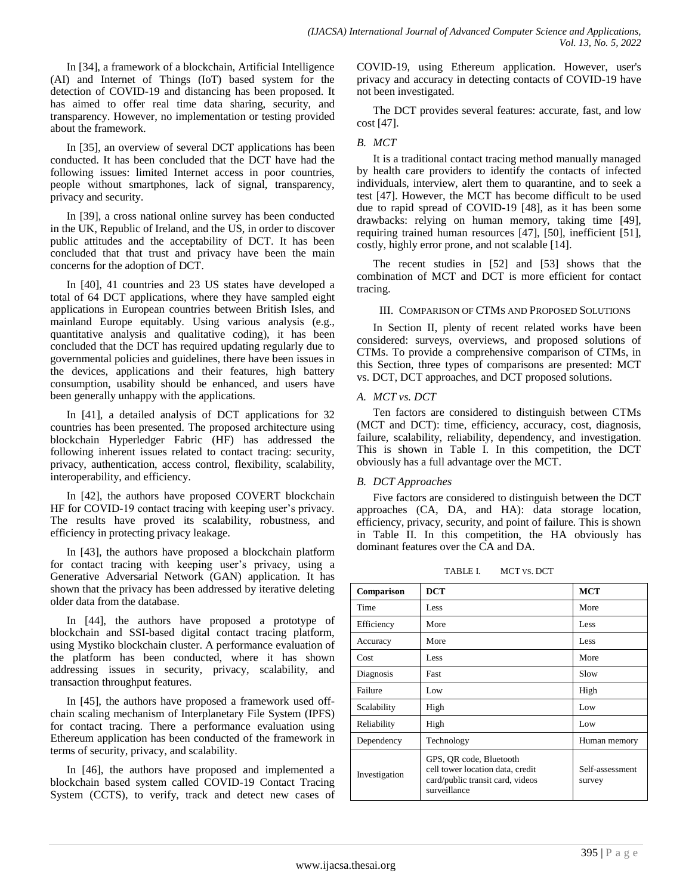In [34], a framework of a blockchain, Artificial Intelligence (AI) and Internet of Things (IoT) based system for the detection of COVID-19 and distancing has been proposed. It has aimed to offer real time data sharing, security, and transparency. However, no implementation or testing provided about the framework.

In [35], an overview of several DCT applications has been conducted. It has been concluded that the DCT have had the following issues: limited Internet access in poor countries, people without smartphones, lack of signal, transparency, privacy and security.

In [39], a cross national online survey has been conducted in the UK, Republic of Ireland, and the US, in order to discover public attitudes and the acceptability of DCT. It has been concluded that that trust and privacy have been the main concerns for the adoption of DCT.

In [40], 41 countries and 23 US states have developed a total of 64 DCT applications, where they have sampled eight applications in European countries between British Isles, and mainland Europe equitably. Using various analysis (e.g., quantitative analysis and qualitative coding), it has been concluded that the DCT has required updating regularly due to governmental policies and guidelines, there have been issues in the devices, applications and their features, high battery consumption, usability should be enhanced, and users have been generally unhappy with the applications.

In [41], a detailed analysis of DCT applications for 32 countries has been presented. The proposed architecture using blockchain Hyperledger Fabric (HF) has addressed the following inherent issues related to contact tracing: security, privacy, authentication, access control, flexibility, scalability, interoperability, and efficiency.

In [42], the authors have proposed COVERT blockchain HF for COVID-19 contact tracing with keeping user's privacy. The results have proved its scalability, robustness, and efficiency in protecting privacy leakage.

In [43], the authors have proposed a blockchain platform for contact tracing with keeping user's privacy, using a Generative Adversarial Network (GAN) application. It has shown that the privacy has been addressed by iterative deleting older data from the database.

In [44], the authors have proposed a prototype of blockchain and SSI-based digital contact tracing platform, using Mystiko blockchain cluster. A performance evaluation of the platform has been conducted, where it has shown addressing issues in security, privacy, scalability, and transaction throughput features.

In [45], the authors have proposed a framework used offchain scaling mechanism of Interplanetary File System (IPFS) for contact tracing. There a performance evaluation using Ethereum application has been conducted of the framework in terms of security, privacy, and scalability.

In [46], the authors have proposed and implemented a blockchain based system called COVID-19 Contact Tracing System (CCTS), to verify, track and detect new cases of COVID-19, using Ethereum application. However, user's privacy and accuracy in detecting contacts of COVID-19 have not been investigated.

The DCT provides several features: accurate, fast, and low cost [47].

# *B. MCT*

It is a traditional contact tracing method manually managed by health care providers to identify the contacts of infected individuals, interview, alert them to quarantine, and to seek a test [47]. However, the MCT has become difficult to be used due to rapid spread of COVID-19 [48], as it has been some drawbacks: relying on human memory, taking time [49], requiring trained human resources [47], [50], inefficient [51], costly, highly error prone, and not scalable [14].

The recent studies in [52] and [53] shows that the combination of MCT and DCT is more efficient for contact tracing.

## III. COMPARISON OF CTMS AND PROPOSED SOLUTIONS

In Section II, plenty of recent related works have been considered: surveys, overviews, and proposed solutions of CTMs. To provide a comprehensive comparison of CTMs, in this Section, three types of comparisons are presented: MCT vs. DCT, DCT approaches, and DCT proposed solutions.

# *A. MCT vs. DCT*

Ten factors are considered to distinguish between CTMs (MCT and DCT): time, efficiency, accuracy, cost, diagnosis, failure, scalability, reliability, dependency, and investigation. This is shown in Table I. In this competition, the DCT obviously has a full advantage over the MCT.

# *B. DCT Approaches*

Five factors are considered to distinguish between the DCT approaches (CA, DA, and HA): data storage location, efficiency, privacy, security, and point of failure. This is shown in Table II. In this competition, the HA obviously has dominant features over the CA and DA.

TABLE I. MCT VS. DCT

| Comparison    | <b>DCT</b>                                                                                                      | <b>MCT</b>                |
|---------------|-----------------------------------------------------------------------------------------------------------------|---------------------------|
| Time          | Less                                                                                                            | More                      |
| Efficiency    | More                                                                                                            | Less                      |
| Accuracy      | More                                                                                                            | Less                      |
| Cost          | Less                                                                                                            | More                      |
| Diagnosis     | Fast                                                                                                            | Slow                      |
| Failure       | Low                                                                                                             | High                      |
| Scalability   | High                                                                                                            | Low                       |
| Reliability   | High                                                                                                            | Low                       |
| Dependency    | Technology                                                                                                      | Human memory              |
| Investigation | GPS, QR code, Bluetooth<br>cell tower location data, credit<br>card/public transit card, videos<br>surveillance | Self-assessment<br>survey |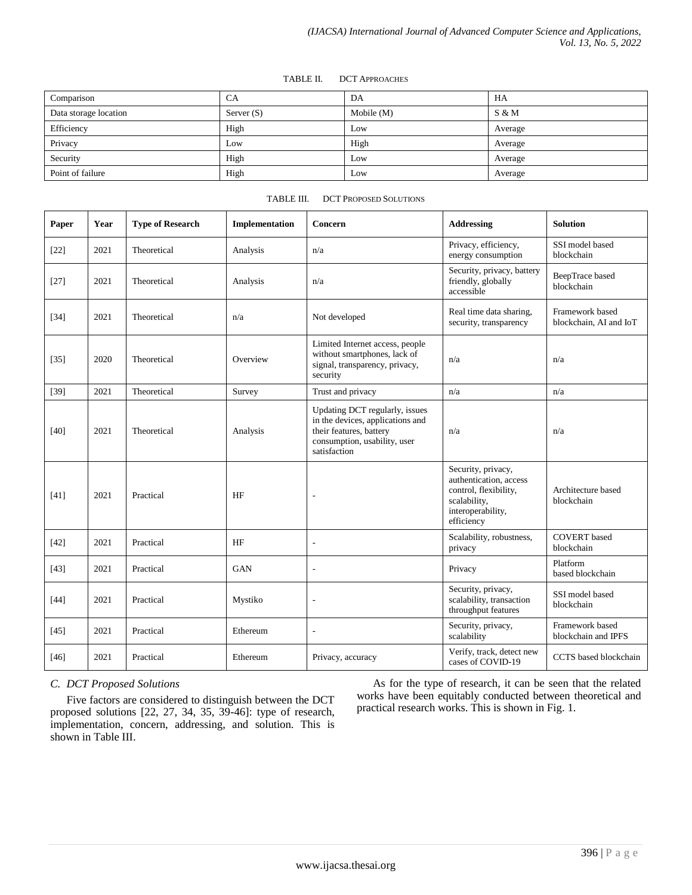#### TABLE II. DCT APPROACHES

| Comparison            | CA           | DA           | HA       |
|-----------------------|--------------|--------------|----------|
| Data storage location | Server $(S)$ | Mobile $(M)$ | $S \& M$ |
| Efficiency            | High         | Low          | Average  |
| Privacy               | Low          | High         | Average  |
| Security              | High         | Low          | Average  |
| Point of failure      | High         | Low          | Average  |

#### TABLE III. DCT PROPOSED SOLUTIONS

| Paper  | Year | <b>Type of Research</b> | Implementation | Concern                                                                                                                                       | <b>Addressing</b>                                                                                                        | <b>Solution</b>                           |
|--------|------|-------------------------|----------------|-----------------------------------------------------------------------------------------------------------------------------------------------|--------------------------------------------------------------------------------------------------------------------------|-------------------------------------------|
| $[22]$ | 2021 | Theoretical             | Analysis       | n/a                                                                                                                                           | Privacy, efficiency,<br>energy consumption                                                                               | SSI model based<br>blockchain             |
| $[27]$ | 2021 | Theoretical             | Analysis       | n/a                                                                                                                                           | Security, privacy, battery<br>friendly, globally<br>accessible                                                           | BeepTrace based<br>blockchain             |
| $[34]$ | 2021 | Theoretical             | n/a            | Not developed                                                                                                                                 | Real time data sharing,<br>security, transparency                                                                        | Framework based<br>blockchain. AI and IoT |
| $[35]$ | 2020 | Theoretical             | Overview       | Limited Internet access, people<br>without smartphones, lack of<br>signal, transparency, privacy,<br>security                                 | n/a                                                                                                                      | n/a                                       |
| $[39]$ | 2021 | Theoretical             | Survey         | Trust and privacy                                                                                                                             | n/a                                                                                                                      | n/a                                       |
| $[40]$ | 2021 | Theoretical             | Analysis       | Updating DCT regularly, issues<br>in the devices, applications and<br>their features, battery<br>consumption, usability, user<br>satisfaction | n/a                                                                                                                      | n/a                                       |
| $[41]$ | 2021 | Practical               | HF             | ٠                                                                                                                                             | Security, privacy,<br>authentication, access<br>control, flexibility,<br>scalability,<br>interoperability,<br>efficiency | Architecture based<br>blockchain          |
| $[42]$ | 2021 | Practical               | HF             | ä,                                                                                                                                            | Scalability, robustness,<br>privacy                                                                                      | <b>COVERT</b> based<br>blockchain         |
| [43]   | 2021 | Practical               | <b>GAN</b>     | ÷,                                                                                                                                            | Privacy                                                                                                                  | Platform<br>based blockchain              |
| $[44]$ | 2021 | Practical               | Mystiko        | $\overline{\phantom{a}}$                                                                                                                      | Security, privacy,<br>scalability, transaction<br>throughput features                                                    | SSI model based<br>blockchain             |
| $[45]$ | 2021 | Practical               | Ethereum       | $\overline{\phantom{a}}$                                                                                                                      | Security, privacy,<br>scalability                                                                                        | Framework based<br>blockchain and IPFS    |
| $[46]$ | 2021 | Practical               | Ethereum       | Privacy, accuracy                                                                                                                             | Verify, track, detect new<br>cases of COVID-19                                                                           | CCTS based blockchain                     |

# *C. DCT Proposed Solutions*

Five factors are considered to distinguish between the DCT proposed solutions [22, 27, 34, 35, 39-46]: type of research, implementation, concern, addressing, and solution. This is shown in Table III.

As for the type of research, it can be seen that the related works have been equitably conducted between theoretical and practical research works. This is shown in Fig. 1.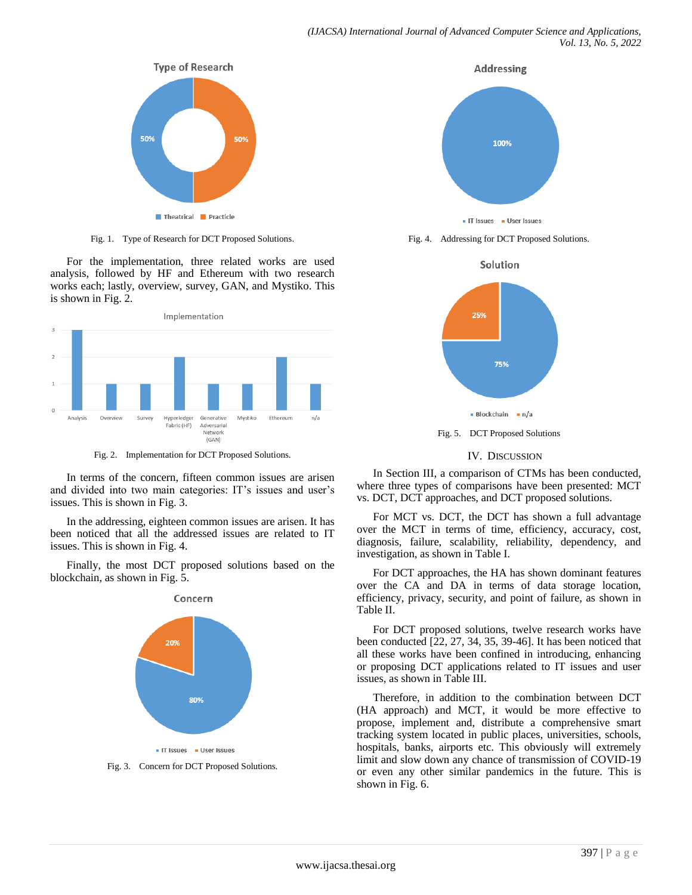

Fig. 1. Type of Research for DCT Proposed Solutions.

For the implementation, three related works are used analysis, followed by HF and Ethereum with two research works each; lastly, overview, survey, GAN, and Mystiko. This is shown in Fig. 2.



Fig. 2. Implementation for DCT Proposed Solutions.

In terms of the concern, fifteen common issues are arisen and divided into two main categories: IT's issues and user's issues. This is shown in Fig. 3.

In the addressing, eighteen common issues are arisen. It has been noticed that all the addressed issues are related to IT issues. This is shown in Fig. 4.

Finally, the most DCT proposed solutions based on the blockchain, as shown in Fig. 5.



Fig. 3. Concern for DCT Proposed Solutions.



Fig. 4. Addressing for DCT Proposed Solutions.



#### IV. DISCUSSION

In Section III, a comparison of CTMs has been conducted, where three types of comparisons have been presented: MCT vs. DCT, DCT approaches, and DCT proposed solutions.

For MCT vs. DCT, the DCT has shown a full advantage over the MCT in terms of time, efficiency, accuracy, cost, diagnosis, failure, scalability, reliability, dependency, and investigation, as shown in Table I.

For DCT approaches, the HA has shown dominant features over the CA and DA in terms of data storage location, efficiency, privacy, security, and point of failure, as shown in Table II.

For DCT proposed solutions, twelve research works have been conducted [22, 27, 34, 35, 39-46]. It has been noticed that all these works have been confined in introducing, enhancing or proposing DCT applications related to IT issues and user issues, as shown in Table III.

Therefore, in addition to the combination between DCT (HA approach) and MCT, it would be more effective to propose, implement and, distribute a comprehensive smart tracking system located in public places, universities, schools, hospitals, banks, airports etc. This obviously will extremely limit and slow down any chance of transmission of COVID-19 or even any other similar pandemics in the future. This is shown in Fig. 6.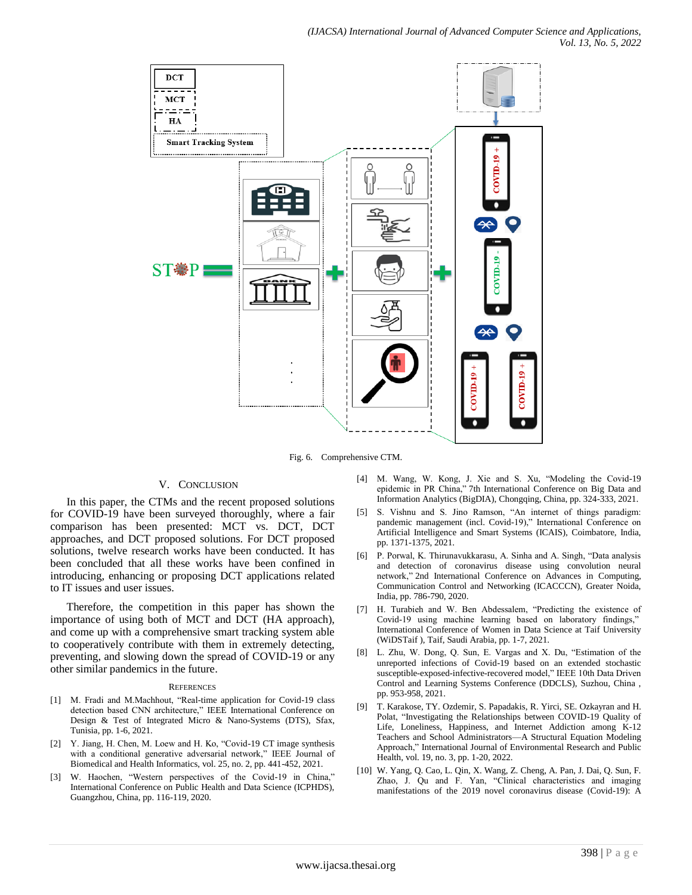

Fig. 6. Comprehensive CTM.

# V. CONCLUSION

In this paper, the CTMs and the recent proposed solutions for COVID-19 have been surveyed thoroughly, where a fair comparison has been presented: MCT vs. DCT, DCT approaches, and DCT proposed solutions. For DCT proposed solutions, twelve research works have been conducted. It has been concluded that all these works have been confined in introducing, enhancing or proposing DCT applications related to IT issues and user issues.

Therefore, the competition in this paper has shown the importance of using both of MCT and DCT (HA approach), and come up with a comprehensive smart tracking system able to cooperatively contribute with them in extremely detecting, preventing, and slowing down the spread of COVID-19 or any other similar pandemics in the future.

#### **REFERENCES**

- [1] M. Fradi and M.Machhout, "Real-time application for Covid-19 class detection based CNN architecture," IEEE International Conference on Design & Test of Integrated Micro & Nano-Systems (DTS), Sfax, Tunisia, pp. 1-6, 2021.
- [2] Y. Jiang, H. Chen, M. Loew and H. Ko, "Covid-19 CT image synthesis with a conditional generative adversarial network," IEEE Journal of Biomedical and Health Informatics, vol. 25, no. 2, pp. 441-452, 2021.
- [3] W. Haochen, "Western perspectives of the Covid-19 in China," International Conference on Public Health and Data Science (ICPHDS), Guangzhou, China, pp. 116-119, 2020.
- [4] M. Wang, W. Kong, J. Xie and S. Xu, "Modeling the Covid-19 epidemic in PR China," 7th International Conference on Big Data and Information Analytics (BigDIA), Chongqing, China, pp. 324-333, 2021.
- [5] S. Vishnu and S. Jino Ramson, "An internet of things paradigm: pandemic management (incl. Covid-19)," International Conference on Artificial Intelligence and Smart Systems (ICAIS), Coimbatore, India, pp. 1371-1375, 2021.
- [6] P. Porwal, K. Thirunavukkarasu, A. Sinha and A. Singh, "Data analysis and detection of coronavirus disease using convolution neural network," 2nd International Conference on Advances in Computing, Communication Control and Networking (ICACCCN), Greater Noida, India, pp. 786-790, 2020.
- [7] H. Turabieh and W. Ben Abdessalem, "Predicting the existence of Covid-19 using machine learning based on laboratory findings," International Conference of Women in Data Science at Taif University (WiDSTaif ), Taif, Saudi Arabia, pp. 1-7, 2021.
- [8] L. Zhu, W. Dong, Q. Sun, E. Vargas and X. Du, "Estimation of the unreported infections of Covid-19 based on an extended stochastic susceptible-exposed-infective-recovered model," IEEE 10th Data Driven Control and Learning Systems Conference (DDCLS), Suzhou, China , pp. 953-958, 2021.
- [9] T. Karakose, TY. Ozdemir, S. Papadakis, R. Yirci, SE. Ozkayran and H. Polat, "Investigating the Relationships between COVID-19 Quality of Life, Loneliness, Happiness, and Internet Addiction among K-12 Teachers and School Administrators—A Structural Equation Modeling Approach," International Journal of Environmental Research and Public Health, vol. 19, no. 3, pp. 1-20, 2022.
- [10] W. Yang, Q. Cao, L. Qin, X. Wang, Z. Cheng, A. Pan, J. Dai, Q. Sun, F. Zhao, J. Qu and F. Yan, "Clinical characteristics and imaging manifestations of the 2019 novel coronavirus disease (Covid-19): A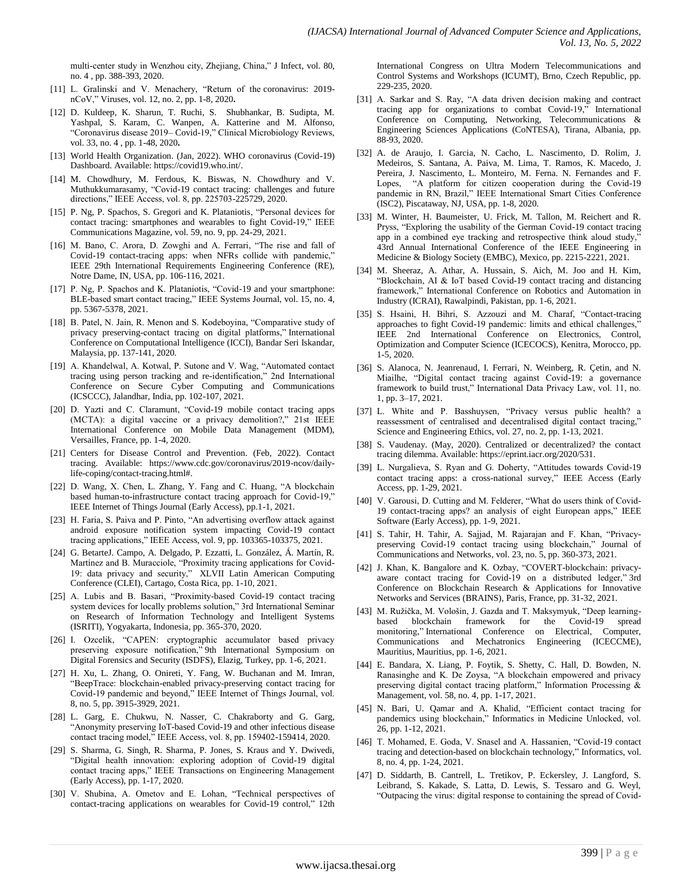multi-center study in Wenzhou city, Zhejiang, China," J Infect, vol. 80, no. 4 , pp. 388-393, 2020.

- [11] L. Gralinski and V. Menachery, "Return of the coronavirus: 2019nCoV,‖ Viruses, vol. 12, no. 2, pp. 1-8, 2020**.**
- [12] D. Kuldeep, K. Sharun, T. Ruchi, S. Shubhankar, B. Sudipta, M. Yashpal, S. Karam, C. Wanpen, A. Katterine and M. Alfonso, "Coronavirus disease 2019– Covid-19," Clinical Microbiology Reviews, vol. 33, no. 4 , pp. 1-48, 2020**.**
- [13] World Health Organization. (Jan, 2022). WHO coronavirus (Covid-19) Dashboard. Available[: https://covid19.who.int/.](https://covid19.who.int/)
- [14] M. Chowdhury, M. Ferdous, K. Biswas, N. Chowdhury and V. Muthukkumarasamy, "Covid-19 contact tracing: challenges and future directions,‖ IEEE Access, vol. 8, pp. 225703-225729, 2020.
- [15] P. Ng, P. Spachos, S. Gregori and K. Plataniotis, "Personal devices for contact tracing: smartphones and wearables to fight Covid-19," IEEE Communications Magazine, vol. 59, no. 9, pp. 24-29, 2021.
- [16] M. Bano, C. Arora, D. Zowghi and A. Ferrari, "The rise and fall of Covid-19 contact-tracing apps: when NFRs collide with pandemic," IEEE 29th International Requirements Engineering Conference (RE), Notre Dame, IN, USA, pp. 106-116, 2021.
- [17] P. Ng, P. Spachos and K. Plataniotis, "Covid-19 and your smartphone: BLE-based smart contact tracing," IEEE Systems Journal, vol. 15, no. 4, pp. 5367-5378, 2021.
- [18] B. Patel, N. Jain, R. Menon and S. Kodeboyina, "Comparative study of privacy preserving-contact tracing on digital platforms," International Conference on Computational Intelligence (ICCI), Bandar Seri Iskandar, Malaysia, pp. 137-141, 2020.
- [19] A. Khandelwal, A. Kotwal, P. Sutone and V. Wag, "Automated contact tracing using person tracking and re-identification," 2nd International Conference on Secure Cyber Computing and Communications (ICSCCC), Jalandhar, India, pp. 102-107, 2021.
- [20] D. Yazti and C. Claramunt, "Covid-19 mobile contact tracing apps (MCTA): a digital vaccine or a privacy demolition?," 21st IEEE International Conference on Mobile Data Management (MDM), Versailles, France, pp. 1-4, 2020.
- [21] Centers for Disease Control and Prevention. (Feb, 2022). Contact tracing. Available: https://www.cdc.gov/coronavirus/2019-ncov/dailylife-coping/contact-tracing.html#.
- [22] D. Wang, X. Chen, L. Zhang, Y. Fang and C. Huang, "A blockchain based human-to-infrastructure contact tracing approach for Covid-19," IEEE Internet of Things Journal (Early Access), pp.1-1, 2021.
- [23] H. Faria, S. Paiva and P. Pinto, "An advertising overflow attack against android exposure notification system impacting Covid-19 contact tracing applications,‖ IEEE Access, vol. 9, pp. 103365-103375, 2021.
- [24] G. BetarteJ. Campo, A. Delgado, P. Ezzatti, L. González, Á. Martín, R. Martínez and B. Muracciole, "Proximity tracing applications for Covid-19: data privacy and security," XLVII Latin American Computing Conference (CLEI), Cartago, Costa Rica, pp. 1-10, 2021.
- [25] A. Lubis and B. Basari, "Proximity-based Covid-19 contact tracing system devices for locally problems solution," 3rd International Seminar on Research of Information Technology and Intelligent Systems (ISRITI), Yogyakarta, Indonesia, pp. 365-370, 2020.
- [26] I. Ozcelik, "CAPEN: cryptographic accumulator based privacy preserving exposure notification," 9th International Symposium on Digital Forensics and Security (ISDFS), Elazig, Turkey, pp. 1-6, 2021.
- [27] H. Xu, L. Zhang, O. Onireti, Y. Fang, W. Buchanan and M. Imran, ―BeepTrace: blockchain-enabled privacy-preserving contact tracing for Covid-19 pandemic and beyond," IEEE Internet of Things Journal, vol. 8, no. 5, pp. 3915-3929, 2021.
- [28] L. Garg, E. Chukwu, N. Nasser, C. Chakraborty and G. Garg, "Anonymity preserving IoT-based Covid-19 and other infectious disease contact tracing model," IEEE Access, vol. 8, pp. 159402-159414, 2020.
- [29] S. Sharma, G. Singh, R. Sharma, P. Jones, S. Kraus and Y. Dwivedi, ―Digital health innovation: exploring adoption of Covid-19 digital contact tracing apps," IEEE Transactions on Engineering Management (Early Access), pp. 1-17, 2020.
- [30] V. Shubina, A. Ometov and E. Lohan, "Technical perspectives of contact-tracing applications on wearables for Covid-19 control," 12th

International Congress on Ultra Modern Telecommunications and Control Systems and Workshops (ICUMT), Brno, Czech Republic, pp. 229-235, 2020.

- [31] A. Sarkar and S. Ray, "A data driven decision making and contract tracing app for organizations to combat Covid-19," International Conference on Computing, Networking, Telecommunications & Engineering Sciences Applications (CoNTESA), Tirana, Albania, pp. 88-93, 2020.
- [32] A. de Araujo, I. Garcia, N. Cacho, L. Nascimento, D. Rolim, J. Medeiros, S. Santana, A. Paiva, M. Lima, T. Ramos, K. Macedo, J. Pereira, J. Nascimento, L. Monteiro, M. Ferna. N. Fernandes and F. Lopes, "A platform for citizen cooperation during the Covid-19 pandemic in RN, Brazil," IEEE International Smart Cities Conference (ISC2), Piscataway, NJ, USA, pp. 1-8, 2020.
- [33] M. Winter, H. Baumeister, U. Frick, M. Tallon, M. Reichert and R. Pryss, "Exploring the usability of the German Covid-19 contact tracing app in a combined eye tracking and retrospective think aloud study, 43rd Annual International Conference of the IEEE Engineering in Medicine & Biology Society (EMBC), Mexico, pp. 2215-2221, 2021.
- [34] M. Sheeraz, A. Athar, A. Hussain, S. Aich, M. Joo and H. Kim, "Blockchain, AI & IoT based Covid-19 contact tracing and distancing framework," International Conference on Robotics and Automation in Industry (ICRAI), Rawalpindi, Pakistan, pp. 1-6, 2021.
- [35] S. Hsaini, H. Bihri, S. Azzouzi and M. Charaf, "Contact-tracing approaches to fight Covid-19 pandemic: limits and ethical challenges,' IEEE 2nd International Conference on Electronics, Control, Optimization and Computer Science (ICECOCS), Kenitra, Morocco, pp. 1-5, 2020.
- [36] S. Alanoca, N. Jeanrenaud, I. Ferrari, N. Weinberg, R. Çetin, and N. Miailhe, "Digital contact tracing against Covid-19: a governance framework to build trust," International Data Privacy Law, vol. 11, no. 1, pp. 3–17, 2021.
- [37] L. White and P. Basshuysen, "Privacy versus public health? a reassessment of centralised and decentralised digital contact tracing." Science and Engineering Ethics, vol. 27, no. 2, pp. 1-13, 2021.
- [38] S. Vaudenay. (May, 2020). Centralized or decentralized? the contact tracing dilemma. Available: https://eprint.iacr.org/2020/531.
- [39] L. Nurgalieva, S. Ryan and G. Doherty, "Attitudes towards Covid-19 contact tracing apps: a cross-national survey," IEEE Access (Early Access, pp. 1-29, 2021.
- [40] V. Garousi, D. Cutting and M. Felderer, "What do users think of Covid-19 contact-tracing apps? an analysis of eight European apps," IEEE Software (Early Access), pp. 1-9, 2021.
- [41] S. Tahir, H. Tahir, A. Sajjad, M. Rajarajan and F. Khan, "Privacypreserving Covid-19 contact tracing using blockchain," Journal of Communications and Networks, vol. 23, no. 5, pp. 360-373, 2021.
- [42] J. Khan, K. Bangalore and K. Ozbay, "COVERT-blockchain: privacyaware contact tracing for Covid-19 on a distributed ledger," 3rd Conference on Blockchain Research & Applications for Innovative Networks and Services (BRAINS), Paris, France, pp. 31-32, 2021.
- [43] M. Ružička, M. Vološin, J. Gazda and T. Maksymyuk, "Deep learningbased blockchain framework for the Covid-19 spread monitoring," International Conference on Electrical, Computer, Communications and Mechatronics Engineering (ICECCME), Mauritius, Mauritius, pp. 1-6, 2021.
- [44] E. Bandara, X. Liang, P. Foytik, S. Shetty, C. Hall, D. Bowden, N. Ranasinghe and K. De Zoysa, "A blockchain empowered and privacy preserving digital contact tracing platform," Information Processing & Management, vol. 58, no. 4, pp. 1-17, 2021.
- [45] N. Bari, U. Qamar and A. Khalid, "Efficient contact tracing for pandemics using blockchain," Informatics in Medicine Unlocked, vol. 26, pp. 1-12, 2021.
- [46] T. Mohamed, E. Goda, V. Snasel and A. Hassanien, "Covid-19 contact tracing and detection-based on blockchain technology," Informatics, vol. 8, no. 4, pp. 1-24, 2021.
- [47] D. Siddarth, B. Cantrell, L. Tretikov, P. Eckersley, J. Langford, S. Leibrand, S. Kakade, S. Latta, D. Lewis, S. Tessaro and G. Weyl, ―Outpacing the virus: digital response to containing the spread of Covid-